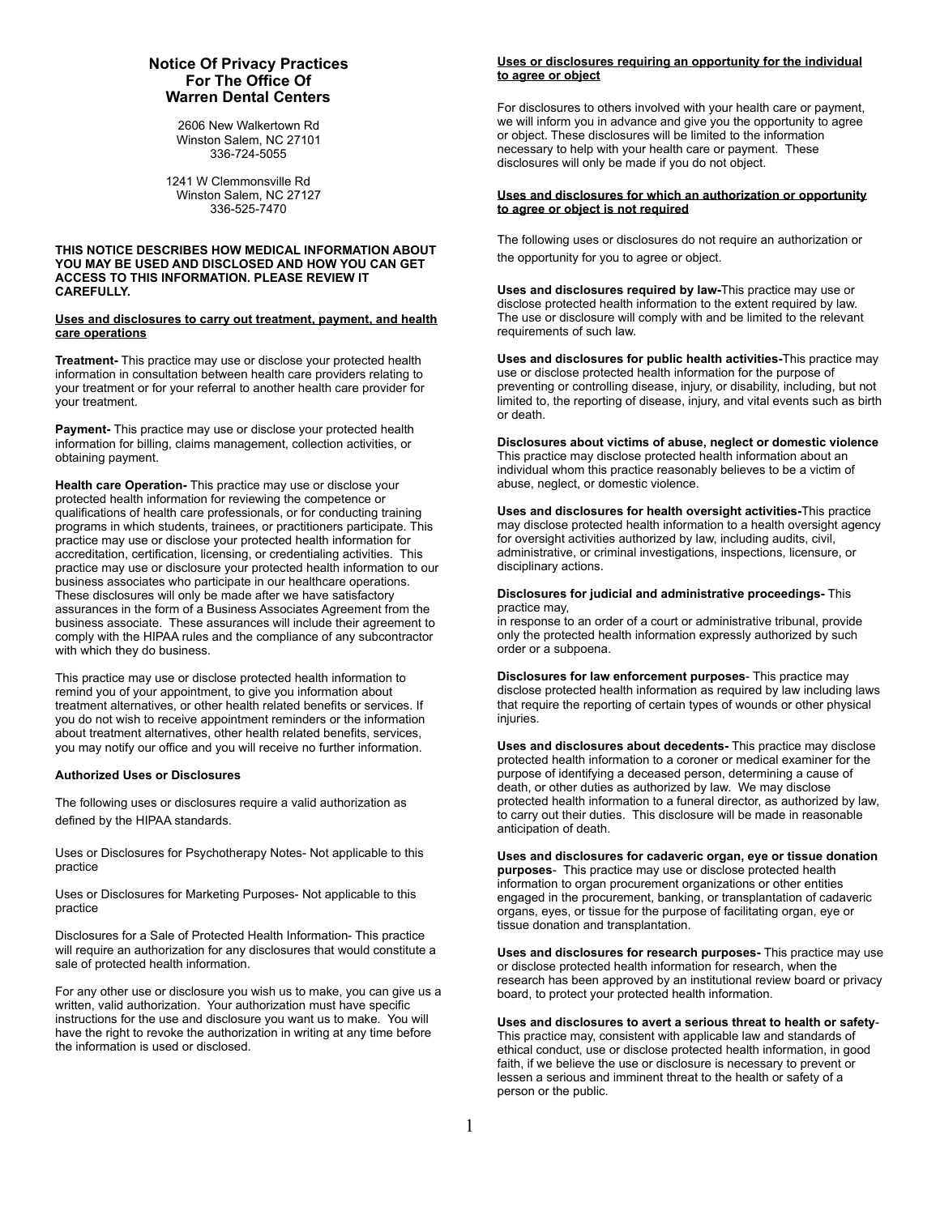# **Notice Of Privacy Practices For The Office Of Warren Dental Centers**

2606 New Walkertown Rd Winston Salem, NC 27101 336-724-5055

1241 W Clemmonsville Rd Winston Salem, NC 27127 336-525-7470

## **THIS NOTICE DESCRIBES HOW MEDICAL INFORMATION ABOUT YOU MAY BE USED AND DISCLOSED AND HOW YOU CAN GET ACCESS TO THIS INFORMATION. PLEASE REVIEW IT CAREFULLY.**

#### **Uses and disclosures to carry out treatment, payment, and health care operations**

**Treatment-** This practice may use or disclose your protected health information in consultation between health care providers relating to your treatment or for your referral to another health care provider for your treatment.

**Payment-** This practice may use or disclose your protected health information for billing, claims management, collection activities, or obtaining payment.

**Health care Operation-** This practice may use or disclose your protected health information for reviewing the competence or qualifications of health care professionals, or for conducting training programs in which students, trainees, or practitioners participate. This practice may use or disclose your protected health information for accreditation, certification, licensing, or credentialing activities. This practice may use or disclosure your protected health information to our business associates who participate in our healthcare operations. These disclosures will only be made after we have satisfactory assurances in the form of a Business Associates Agreement from the business associate. These assurances will include their agreement to comply with the HIPAA rules and the compliance of any subcontractor with which they do business.

This practice may use or disclose protected health information to remind you of your appointment, to give you information about treatment alternatives, or other health related benefits or services. If you do not wish to receive appointment reminders or the information about treatment alternatives, other health related benefits, services, you may notify our office and you will receive no further information.

## **Authorized Uses or Disclosures**

The following uses or disclosures require a valid authorization as defined by the HIPAA standards.

Uses or Disclosures for Psychotherapy Notes- Not applicable to this practice

Uses or Disclosures for Marketing Purposes- Not applicable to this practice

Disclosures for a Sale of Protected Health Information- This practice will require an authorization for any disclosures that would constitute a sale of protected health information.

For any other use or disclosure you wish us to make, you can give us a written, valid authorization. Your authorization must have specific instructions for the use and disclosure you want us to make. You will have the right to revoke the authorization in writing at any time before the information is used or disclosed.

## **Uses or disclosures requiring an opportunity for the individual to agree or object**

For disclosures to others involved with your health care or payment, we will inform you in advance and give you the opportunity to agree or object. These disclosures will be limited to the information necessary to help with your health care or payment. These disclosures will only be made if you do not object.

## **Uses and disclosures for which an authorization or opportunity to agree or object is not required**

The following uses or disclosures do not require an authorization or the opportunity for you to agree or object.

**Uses and disclosures required by law-**This practice may use or disclose protected health information to the extent required by law. The use or disclosure will comply with and be limited to the relevant requirements of such law.

**Uses and disclosures for public health activities-**This practice may use or disclose protected health information for the purpose of preventing or controlling disease, injury, or disability, including, but not limited to, the reporting of disease, injury, and vital events such as birth or death.

**Disclosures about victims of abuse, neglect or domestic violence** This practice may disclose protected health information about an individual whom this practice reasonably believes to be a victim of abuse, neglect, or domestic violence.

**Uses and disclosures for health oversight activities-**This practice may disclose protected health information to a health oversight agency for oversight activities authorized by law, including audits, civil, administrative, or criminal investigations, inspections, licensure, or disciplinary actions.

**Disclosures for judicial and administrative proceedings-** This practice may,

in response to an order of a court or administrative tribunal, provide only the protected health information expressly authorized by such order or a subpoena.

**Disclosures for law enforcement purposes**- This practice may disclose protected health information as required by law including laws that require the reporting of certain types of wounds or other physical injuries.

**Uses and disclosures about decedents-** This practice may disclose protected health information to a coroner or medical examiner for the purpose of identifying a deceased person, determining a cause of death, or other duties as authorized by law. We may disclose protected health information to a funeral director, as authorized by law, to carry out their duties. This disclosure will be made in reasonable anticipation of death.

**Uses and disclosures for cadaveric organ, eye or tissue donation purposes**- This practice may use or disclose protected health information to organ procurement organizations or other entities engaged in the procurement, banking, or transplantation of cadaveric organs, eyes, or tissue for the purpose of facilitating organ, eye or tissue donation and transplantation.

**Uses and disclosures for research purposes-** This practice may use or disclose protected health information for research, when the research has been approved by an institutional review board or privacy board, to protect your protected health information.

**Uses and disclosures to avert a serious threat to health or safety**-This practice may, consistent with applicable law and standards of ethical conduct, use or disclose protected health information, in good faith, if we believe the use or disclosure is necessary to prevent or lessen a serious and imminent threat to the health or safety of a person or the public.